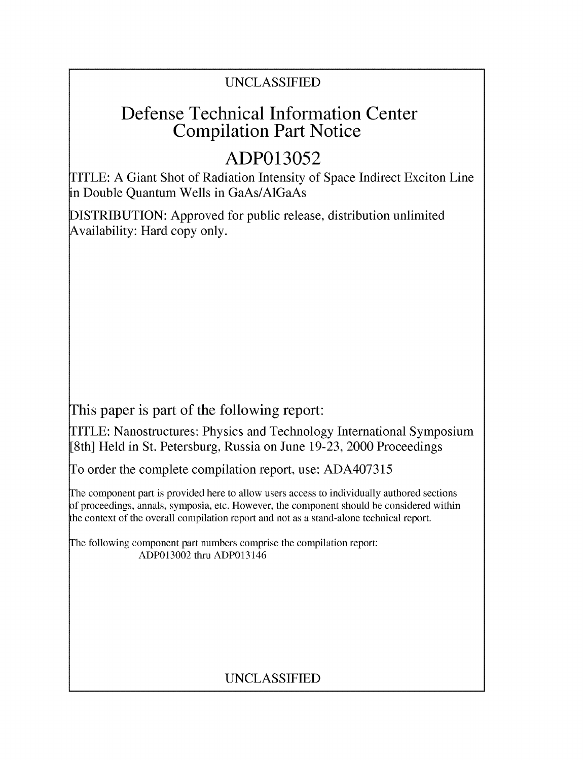### UNCLASSIFIED

## Defense Technical Information Center Compilation Part Notice

# **ADP013052**

TITLE: A Giant Shot of Radiation Intensity of Space Indirect Exciton Line in Double Quantum Wells in GaAs/AlGaAs

DISTRIBUTION: Approved for public release, distribution unlimited Availability: Hard copy only.

This paper is part of the following report:

TITLE: Nanostructures: Physics and Technology International Symposium [8th] Held in St. Petersburg, Russia on June 19-23, 2000 Proceedings

To order the complete compilation report, use: ADA407315

The component part is provided here to allow users access to individually authored sections f proceedings, annals, symposia, etc. However, the component should be considered within the context of the overall compilation report and not as a stand-alone technical report.

The following component part numbers comprise the compilation report: ADP013002 thru ADP013146

### UNCLASSIFIED